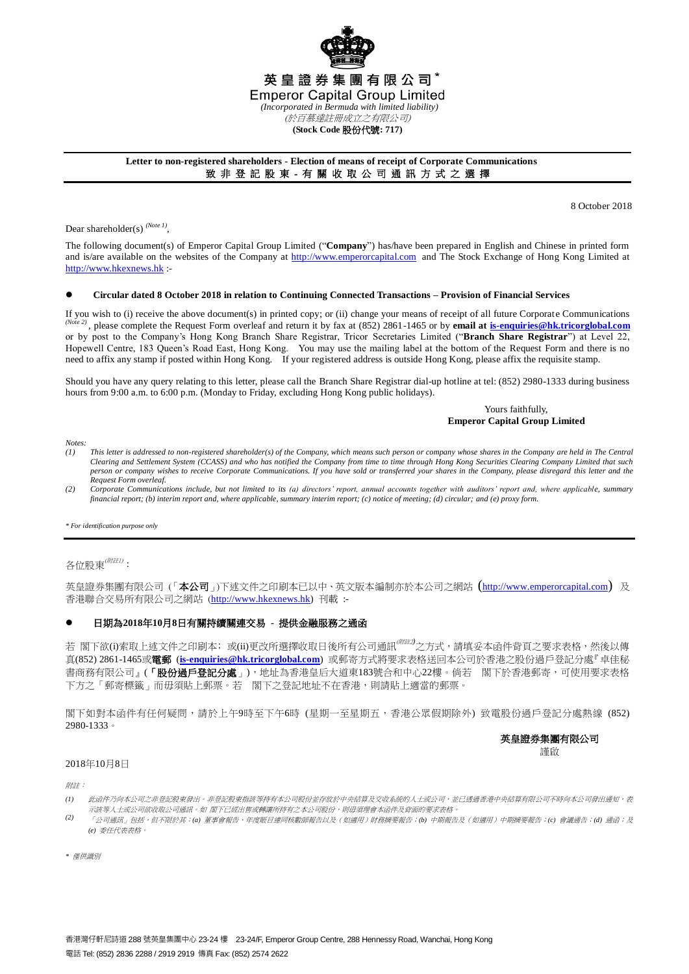

# **Letter to non-registered shareholders - Election of means of receipt of Corporate Communications** 致 非 登 記 股 東 - 有 關 收 取 公 司 通 訊 方 式 之 選 擇

8 October 2018

Dear shareholder(s)<sup>(Note 1)</sup>,

The following document(s) of Emperor Capital Group Limited ("**Company**") has/have been prepared in English and Chinese in printed form and is/are available on the websites of the Company at [http://www.emperorcapital.com](http://www.emperorcapital.com/) and The Stock Exchange of Hong Kong Limited at [http://www.hkexnews.hk](http://www.hkexnews.hk/) :-

#### **Circular dated 8 October 2018 in relation to Continuing Connected Transactions – Provision of Financial Services**

If you wish to (i) receive the above document(s) in printed copy; or (ii) change your means of receipt of all future Corporate Communications *(Note 2)* , please complete the Request Form overleaf and return it by fax at (852) 2861-1465 or by **email at [is-enquiries@hk.tricorglobal.com](mailto:is-ecom@hk.tricorglobal.com)** or by post to the Company's Hong Kong Branch Share Registrar, Tricor Secretaries Limited ("**Branch Share Registrar**") at Level 22, Hopewell Centre, 183 Queen's Road East, Hong Kong. You may use the mailing label at the bottom of the Request Form and there is no need to affix any stamp if posted within Hong Kong. If your registered address is outside Hong Kong, please affix the requisite stamp.

Should you have any query relating to this letter, please call the Branch Share Registrar dial-up hotline at tel: (852) 2980-1333 during business hours from 9:00 a.m. to 6:00 p.m. (Monday to Friday, excluding Hong Kong public holidays).

### Yours faithfully, **Emperor Capital Group Limited**

*Notes:*

- *(1) This letter is addressed to non-registered shareholder(s) of the Company, which means such person or company whose shares in the Company are held in The Central Clearing and Settlement System (CCASS) and who has notified the Company from time to time through Hong Kong Securities Clearing Company Limited that such person or company wishes to receive Corporate Communications. If you have sold or transferred your shares in the Company, please disregard this letter and the Request Form overleaf.*
- *(2) Corporate Communications include, but not limited to its (a) directors' report, annual accounts together with auditors' report and, where applicable, summary financial report; (b) interim report and, where applicable, summary interim report; (c) notice of meeting; (d) circular; and (e) proxy form.*

*\* For identification purpose only*

# 各位股東 $^{\text{\tiny{(M\#U)}}}$ :

英皇證券集團有限公司(「本公司」)下述文件之印刷本已以中、英文版本編制亦於本公司之網站([http://www.emperorcapital.com](http://www.emperorcapital.com/)) 及 香港聯合交易所有限公司之網站 ([http://www.hkexnews.hk\)](http://www.hkexnews.hk/) 刊載 :-

## 日期為**2018**年**10**月**8**日有關持續關連交易 **-** 提供金融服務之通函

若 閣下欲(i)索取上述文件之印刷本;或(ii)更改所選擇收取日後所有公司通訊<sup>(*""注*2)</sup>之方式,請填妥本函件背頁之要求表格,然後以傳 真(852) 2861-1465或電郵 (**[is-enquiries@hk.tricorglobal.com](mailto:is-ecom@hk.tricorglobal.com)**) 或郵寄方式將要求表格送回本公司於香港之股份過戶登記分處『卓佳秘 書商務有限公司』(「**股份過戶登記分處**」),地址為香港皇后大道東183號合和中心22樓。倘若 閣下於香港郵寄,可使用要求表格 下方之「郵寄標籤」而毋須貼上郵票。若 閣下之登記地址不在香港,則請貼上適當的郵票。

閣下如對本函件有任何疑問,請於上午9時至下午6時 (星期一至星期五,香港公眾假期除外) 致電股份過戶登記分處熱線 (852) 2980-1333。

# 英皇證券集團有限公司 謹啟

#### 2018年10月8日

附註:

- *(1)* 此函件乃向本公司之非登記股東發出。非登記股東指該等持有本公司股份並存放於中央結算及交收系統的人士或公司,应尼透過香港中央結算有限公司不時向本公司發出通知,表 示該等人士或公司欲收取公司通訊。如 閣下已經出售或轉讓所持有之本公司股份,則毋須理會本函件及背面的要求表格。
- *(2)* 「公司通訊」包括,但不限於其:*(a)* 董事會報告、年度賬目連同核數師報告以及(如適用)財務摘要報告;*(b)* 中期報告及(如適用)中期摘要報告;*(c)* 會議通告;*(d)* 通函;及 *(e)* 委任代表表格。
- *\** 僅供識別